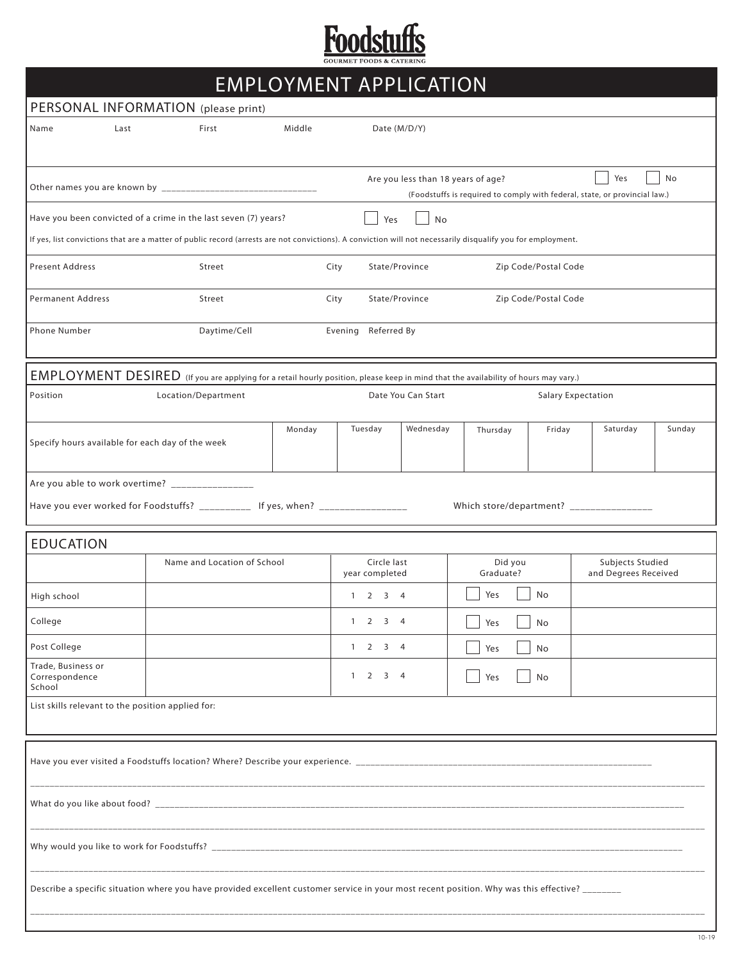

|                                                |                                                   |                                                                                                                                                             |        |                        |                               | <b>EMPLOYMENT APPLICATION</b>      |                      |                           |                                                                                   |        |
|------------------------------------------------|---------------------------------------------------|-------------------------------------------------------------------------------------------------------------------------------------------------------------|--------|------------------------|-------------------------------|------------------------------------|----------------------|---------------------------|-----------------------------------------------------------------------------------|--------|
|                                                |                                                   | PERSONAL INFORMATION (please print)                                                                                                                         |        |                        |                               |                                    |                      |                           |                                                                                   |        |
| Name                                           | Last                                              | First                                                                                                                                                       | Middle |                        | Date (M/D/Y)                  |                                    |                      |                           |                                                                                   |        |
|                                                |                                                   |                                                                                                                                                             |        |                        |                               | Are you less than 18 years of age? |                      |                           | Yes<br>(Foodstuffs is required to comply with federal, state, or provincial law.) | No     |
|                                                |                                                   | Have you been convicted of a crime in the last seven (7) years?                                                                                             |        |                        | Yes                           | No                                 |                      |                           |                                                                                   |        |
|                                                |                                                   | If yes, list convictions that are a matter of public record (arrests are not convictions). A conviction will not necessarily disqualify you for employment. |        |                        |                               |                                    |                      |                           |                                                                                   |        |
| <b>Present Address</b>                         |                                                   | Street                                                                                                                                                      |        | State/Province<br>City |                               | Zip Code/Postal Code               |                      |                           |                                                                                   |        |
| <b>Permanent Address</b>                       |                                                   | Street                                                                                                                                                      |        | State/Province<br>City |                               |                                    | Zip Code/Postal Code |                           |                                                                                   |        |
| Phone Number                                   |                                                   | Daytime/Cell                                                                                                                                                |        | Evening Referred By    |                               |                                    |                      |                           |                                                                                   |        |
|                                                |                                                   | EMPLOYMENT DESIRED (If you are applying for a retail hourly position, please keep in mind that the availability of hours may vary.)                         |        |                        |                               |                                    |                      |                           |                                                                                   |        |
| Position                                       |                                                   | Location/Department                                                                                                                                         |        |                        |                               | Date You Can Start                 |                      | <b>Salary Expectation</b> |                                                                                   |        |
|                                                | Specify hours available for each day of the week  |                                                                                                                                                             | Monday |                        | Tuesday<br>Wednesday          |                                    | Thursday             | Friday                    | Saturday                                                                          | Sunday |
|                                                |                                                   | Are you able to work overtime? _________________<br>Have you ever worked for Foodstuffs? ____________ If yes, when? ________________                        |        |                        |                               |                                    |                      |                           | Which store/department? ________________                                          |        |
| <b>EDUCATION</b>                               |                                                   |                                                                                                                                                             |        |                        |                               |                                    |                      |                           |                                                                                   |        |
|                                                |                                                   | Name and Location of School                                                                                                                                 |        |                        | Circle last<br>year completed |                                    | Did you<br>Graduate? |                           | Subjects Studied<br>and Degrees Received                                          |        |
| High school                                    |                                                   |                                                                                                                                                             |        |                        | $1 \t2 \t3 \t4$               |                                    | Yes                  | No                        |                                                                                   |        |
| College                                        |                                                   |                                                                                                                                                             |        |                        | $1 \quad 2 \quad 3 \quad 4$   |                                    | Yes                  | No                        |                                                                                   |        |
| Post College                                   |                                                   |                                                                                                                                                             |        |                        | $1 \quad 2 \quad 3 \quad 4$   |                                    | Yes                  | No                        |                                                                                   |        |
| Trade, Business or<br>Correspondence<br>School |                                                   |                                                                                                                                                             |        |                        | $1 \t2 \t3 \t4$               |                                    | Yes                  | No                        |                                                                                   |        |
|                                                | List skills relevant to the position applied for: |                                                                                                                                                             |        |                        |                               |                                    |                      |                           |                                                                                   |        |
|                                                |                                                   |                                                                                                                                                             |        |                        |                               |                                    |                      |                           |                                                                                   |        |
|                                                |                                                   |                                                                                                                                                             |        |                        |                               |                                    |                      |                           |                                                                                   |        |
|                                                |                                                   |                                                                                                                                                             |        |                        |                               |                                    |                      |                           |                                                                                   |        |
|                                                |                                                   | Describe a specific situation where you have provided excellent customer service in your most recent position. Why was this effective? _______              |        |                        |                               |                                    |                      |                           |                                                                                   |        |
|                                                |                                                   |                                                                                                                                                             |        |                        |                               |                                    |                      |                           |                                                                                   |        |